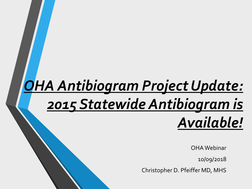# *OHA Antibiogram Project Update: 2015 Statewide Antibiogram is Available!*

OHAWebinar

10/09/2018

Christopher D. Pfeiffer MD, MHS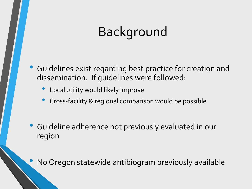## Background

Guidelines exist regarding best practice for creation and dissemination. If guidelines were followed:

- Local utility would likely improve
- Cross-facility & regional comparison would be possible
- Guideline adherence not previously evaluated in our region

No Oregon statewide antibiogram previously available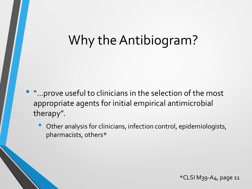## Why the Antibiogram?

- "…prove useful to clinicians in the selection of the most appropriate agents for initial empirical antimicrobial therapy".
	- Other analysis for clinicians, infection control, epidemiologists, pharmacists, others\*

\*CLSI M39-A4, page 11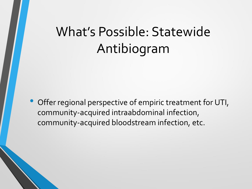## What's Possible: Statewide Antibiogram

• Offer regional perspective of empiric treatment for UTI, community-acquired intraabdominal infection, community-acquired bloodstream infection, etc.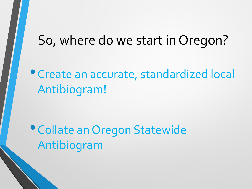#### So, where do we start in Oregon?

•Create an accurate, standardized local Antibiogram!

•Collate an Oregon Statewide Antibiogram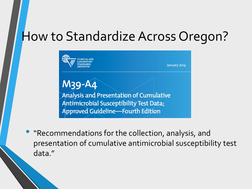#### How to Standardize Across Oregon?



• "Recommendations for the collection, analysis, and presentation of cumulative antimicrobial susceptibility test data."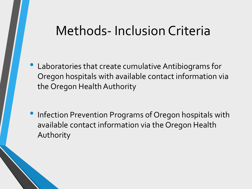#### Methods- Inclusion Criteria

- Laboratories that create cumulative Antibiograms for Oregon hospitals with available contact information via the Oregon Health Authority
- Infection Prevention Programs of Oregon hospitals with available contact information via the Oregon Health Authority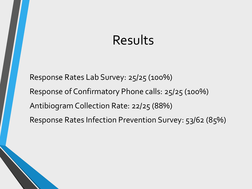## Results

Response Rates Lab Survey: 25/25 (100%) Response of Confirmatory Phone calls: 25/25 (100%) Antibiogram Collection Rate: 22/25 (88%) Response Rates Infection Prevention Survey: 53/62 (85%)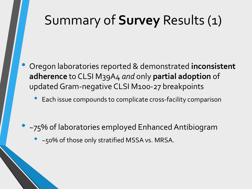## Summary of **Survey** Results (1)

- Oregon laboratories reported & demonstrated **inconsistent adherence** to CLSI M39A4 *and* only **partial adoption** of updated Gram-negative CLSI M100-27 breakpoints
	- Each issue compounds to complicate cross-facility comparison
- ~75% of laboratories employed Enhanced Antibiogram
	- ~50% of those only stratified MSSA vs. MRSA.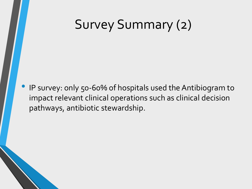## Survey Summary (2)

• IP survey: only 50-60% of hospitals used the Antibiogram to impact relevant clinical operations such as clinical decision pathways, antibiotic stewardship.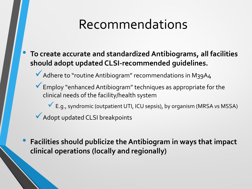## Recommendations

- **To create accurate and standardized Antibiograms, all facilities should adopt updated CLSI-recommended guidelines.**
	- ◆ Adhere to "routine Antibiogram" recommendations in M39A4
	- ✓Employ "enhanced Antibiogram" techniques as appropriate for the clinical needs of the facility/health system
		- ✓E.g., syndromic (outpatient UTI, ICU sepsis), by organism (MRSA vs MSSA)
	- ✓Adopt updated CLSI breakpoints
- **Facilities should publicize the Antibiogram in ways that impact clinical operations (locally and regionally)**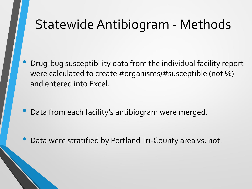### Statewide Antibiogram - Methods

• Drug-bug susceptibility data from the individual facility report were calculated to create #organisms/#susceptible (not %) and entered into Excel.

- Data from each facility's antibiogram were merged.
- Data were stratified by Portland Tri-County area vs. not.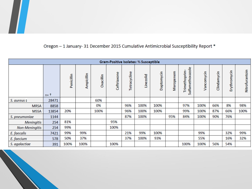#### Oregon - 1 January- 31 December 2015 Cumulative Antimicrobial Susceptibility Report \*

| Gram-Positive Isolates: % Susceptible |           |            |            |           |             |              |           |            |           |                                  |            |             |              |                |
|---------------------------------------|-----------|------------|------------|-----------|-------------|--------------|-----------|------------|-----------|----------------------------------|------------|-------------|--------------|----------------|
|                                       | $n =$ $+$ | Penicillin | Ampicillin | Oxacillin | Ceftriaxone | Tetracycline | Linezolid | Daptomycin | Meropenem | Sulfamethoxazole<br>Trimethoprim | Vancomycin | Clindamycin | Erythromycin | Nitrofurantoin |
| $S.$ aureus $\ddagger$                | 28471     |            |            | 60%       |             |              |           |            |           |                                  |            |             |              |                |
| <b>MRSA</b>                           | 8858      |            |            | 0%        |             | 96%          | 100%      | 100%       |           | 97%                              | 100%       | 66%         | 8%           | 98%            |
| <b>MSSA</b>                           | 13854     | 20%        |            | 100%      |             | 96%          | 100%      | 100%       |           | 99%                              | 100%       | 87%         | 66%          | 100%           |
| S. pneumoniae                         | 1144      |            |            |           |             | 87%          | 100%      |            | 95%       | 84%                              | 100%       | 90%         | 76%          |                |
| <b>Meningitis</b>                     | 254       | 81%        |            |           | 95%         |              |           |            |           |                                  |            |             |              |                |
| <b>Non-Meningitis</b>                 | 254       | 99%        |            |           | 100%        |              |           |            |           |                                  |            |             |              |                |
| E. faecalis                           | 7421      | 99%        | 99%        |           |             | 21%          | 99%       | 100%       |           |                                  | 99%        |             | 32%          | 99%            |
| E. faecium                            | 578       | 50%        | 37%        |           |             | 37%          | 100%      | 93%        |           |                                  | 55%        |             | 16%          | 32%            |
| S. agalactiae                         | 391       | 100%       | 100%       |           | 100%        |              |           |            |           | 100%                             | 100%       | 56%         | 54%          |                |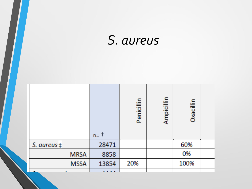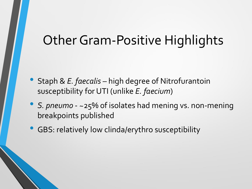#### Other Gram-Positive Highlights

- Staph & *E. faecalis* high degree of Nitrofurantoin susceptibility for UTI (unlike *E. faecium*)
- *S. pneumo* ~25% of isolates had mening vs. non-mening breakpoints published
- GBS: relatively low clinda/erythro susceptibility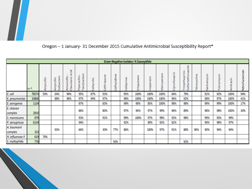

| <b>Gram-Negative Isolates: % Susceptible</b> |         |            |                                |                                       |                                                |                                |             |                     |                  |                  |              |               |                      |                                                                                              |                 |            |                |             |                |
|----------------------------------------------|---------|------------|--------------------------------|---------------------------------------|------------------------------------------------|--------------------------------|-------------|---------------------|------------------|------------------|--------------|---------------|----------------------|----------------------------------------------------------------------------------------------|-----------------|------------|----------------|-------------|----------------|
|                                              | $n = 1$ | Ampicillin | ctam<br>picillin<br>Sulba<br>ξ | Acid<br>icillin<br>Clavulanic<br>moxi | actam<br>Piperacillin<br>8 <sub>o</sub><br>Se. | $rac{1}{5}$<br><b>az</b><br>۴ö | Ceftriaxone | ime<br>2i<br>ā<br>ŧ | Φ<br>Ē<br>e<br>₩ | enem<br>tap<br>ш | nem<br>miper | penem<br>Mero | floxacin<br>pro<br>ក | $rac{e}{\circ}$<br>methoxaz<br>Ë<br>Ω<br>o<br>€<br>Φ<br><b>GD</b><br>Ě<br>₹<br>Έ<br>$\omega$ | cycline<br>etra | Gentamycin | mycin<br>obrai | ΰ<br>σ<br>Ĕ | Nitrofurantoin |
| E. coli                                      | 78574   | 59%        | 64%                            | 94%                                   | 95%                                            | 87%                            | 93%         |                     | 95%              | 100%             | 100%         | 100%          | 84%                  | 79%                                                                                          |                 | 92%        | 92%            | 100%        | 94%            |
| K. pneumoniae                                | 10866   |            | 88%                            | 96%                                   | 97%                                            | 94%                            | 97%         |                     | 98%              | 100%             | 100%         | 100%          | 96%                  | 92%                                                                                          |                 | 98%        | 97%            | 100%        | 41%            |
| E. aerogenes                                 | 1134    |            |                                |                                       | 87%                                            |                                | 83%         |                     | 99%              | 98%              | 85%          | 100%          | 98%                  | 98%                                                                                          |                 | 99%        | 99%            | 100%        | 17%            |
| E. cloacae<br>complex                        | 2810    |            |                                |                                       | 86%                                            |                                | 80%         |                     | 97%              | 96%              | 97%          | 99%           | 96%                  | 89%                                                                                          |                 | 98%        | 98%            | 100%        | 30%            |
| S. marcescens                                | 879     |            |                                |                                       | 93%                                            |                                | 92%         |                     | 99%              | 100%             | 97%          | 99%           | 93%                  | 98%                                                                                          |                 | 99%        | 93%            | 99%         |                |
| P. aeruginosa                                | 6134    |            |                                |                                       | 94%                                            |                                |             |                     | 92%              |                  | 89%          | 92%           | 82%                  |                                                                                              |                 | 90%        | 98%            | 97%         |                |
| A. baumanii<br>complex                       | 322     |            | 93%                            |                                       | 66%                                            |                                | 30%         | 77%                 | 86%              |                  | 100%         | 97%           | 91%                  | 88%                                                                                          | 96%             | 90%        | 94%            | 94%         |                |
| H. influenzae ‡                              | 619     | 78%        |                                |                                       |                                                |                                |             |                     |                  |                  |              |               |                      |                                                                                              |                 |            |                |             |                |
| S. maltophilia                               | 778     |            |                                |                                       |                                                |                                |             | 50%                 |                  |                  |              |               |                      | 92%                                                                                          |                 |            |                |             |                |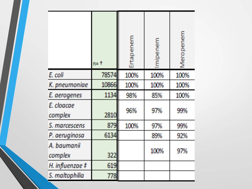|                        | $n = 1$ | enem<br>Ā<br>e<br>m | mipenem | Meropenem |
|------------------------|---------|---------------------|---------|-----------|
| E. coli                | 78574   | 100%                | 100%    | 100%      |
| K. pneumoniae          | 10866   | 100%                | 100%    | 100%      |
| E. aerogenes           | 1134    | 98%                 | 85%     | 100%      |
| E. cloacae<br>complex  | 2810    | 96%                 | 97%     | 99%       |
| S. marcescens          | 879     | 100%                | 97%     | 99%       |
| P. aeruginosa          | 6134    |                     | 89%     | 92%       |
| A. baumanii<br>complex | 322     |                     | 100%    | 97%       |
| H. influenzae $#$      | 619     |                     |         |           |
| S. maltophilia         | 778     |                     |         |           |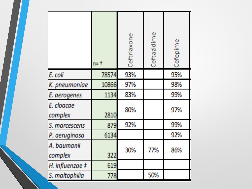|                        | $n = 1$ | Ceftriaxone | Ceftazidime | Defepime |
|------------------------|---------|-------------|-------------|----------|
| E. coli                | 78574   | 93%         |             | 95%      |
| K. pneumoniae          | 10866   | 97%         |             | 98%      |
| E. aerogenes           | 1134    | 83%         |             | 99%      |
| E. cloacae<br>complex  | 2810    | 80%         |             | 97%      |
| S. marcescens          | 879     | 92%         |             | 99%      |
| P. aeruginosa          | 6134    |             |             | 92%      |
| A. baumanii<br>complex | 322     | 30%         | 77%         | 86%      |
| H. influenzae $#$      | 619     |             |             |          |
| S. maltophilia         | 778     |             | 50%         |          |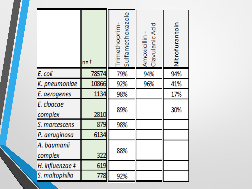|                       | $n = t$ | Trimethoprim-<br>Sulfamethoxazole | Amoxicillin -<br>Clavulanic Acid | Nitrofurantoin |
|-----------------------|---------|-----------------------------------|----------------------------------|----------------|
| E. coli               | 78574   | 79%                               | 94%                              | 94%            |
| K. pneumoniae         | 10866   | 92%                               | 96%                              | 41%            |
| E. aerogenes          | 1134    | 98%                               |                                  | 17%            |
| E. cloacae<br>complex | 2810    | 89%                               |                                  | 30%            |
| S. marcescens         | 879     | 98%                               |                                  |                |
| P. aeruginosa         | 6134    |                                   |                                  |                |
| A. baumanii           |         |                                   |                                  |                |
| complex               | 322     | 88%                               |                                  |                |
| H. influenzae $#$     | 619     |                                   |                                  |                |
| S. maltophilia        | 778     | 92%                               |                                  |                |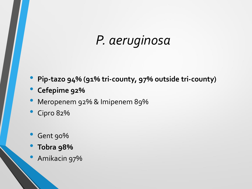## *P. aeruginosa*

- **Pip-tazo 94% (91% tri-county, 97% outside tri-county)**
- **Cefepime 92%**
- Meropenem 92% & Imipenem 89%
- Cipro 82%
- Gent 90%
- **Tobra 98%**
- Amikacin 97%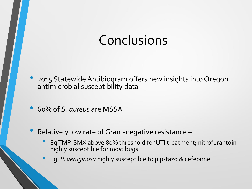## Conclusions

- 2015 Statewide Antibiogram offers new insights into Oregon antimicrobial susceptibility data
- 60% of *S. aureus* are MSSA
- Relatively low rate of Gram-negative resistance
	- EgTMP-SMX above 80% threshold for UTI treatment; nitrofurantoin highly susceptible for most bugs
	- Eg. *P. aeruginosa* highly susceptible to pip-tazo & cefepime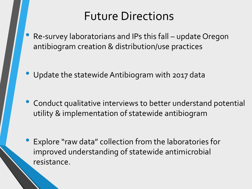#### Future Directions

• Re-survey laboratorians and IPs this fall – update Oregon antibiogram creation & distribution/use practices

• Update the statewide Antibiogram with 2017 data

• Conduct qualitative interviews to better understand potential utility & implementation of statewide antibiogram

Explore "raw data" collection from the laboratories for improved understanding of statewide antimicrobial resistance.